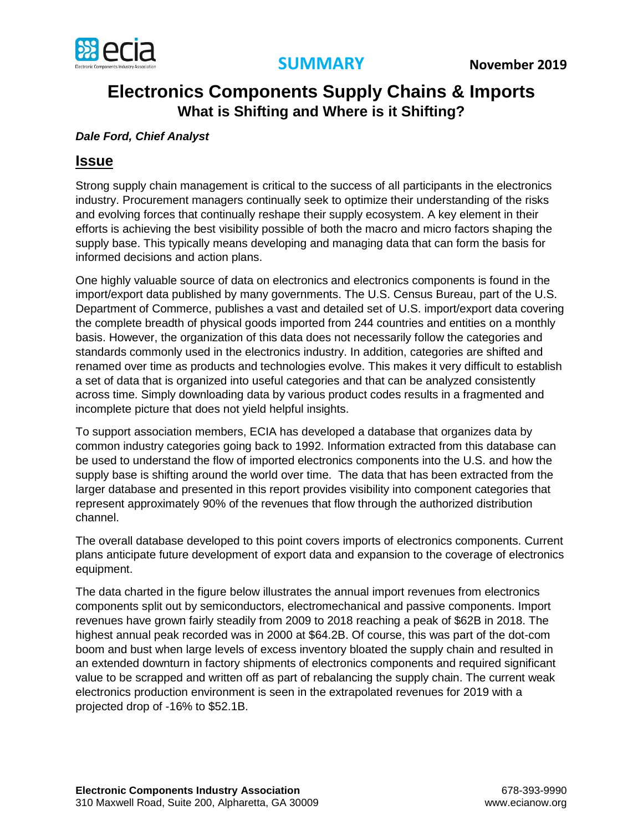

## **Electronics Components Supply Chains & Imports What is Shifting and Where is it Shifting?**

## *Dale Ford, Chief Analyst*

## **Issue**

Strong supply chain management is critical to the success of all participants in the electronics industry. Procurement managers continually seek to optimize their understanding of the risks and evolving forces that continually reshape their supply ecosystem. A key element in their efforts is achieving the best visibility possible of both the macro and micro factors shaping the supply base. This typically means developing and managing data that can form the basis for informed decisions and action plans.

One highly valuable source of data on electronics and electronics components is found in the import/export data published by many governments. The U.S. Census Bureau, part of the U.S. Department of Commerce, publishes a vast and detailed set of U.S. import/export data covering the complete breadth of physical goods imported from 244 countries and entities on a monthly basis. However, the organization of this data does not necessarily follow the categories and standards commonly used in the electronics industry. In addition, categories are shifted and renamed over time as products and technologies evolve. This makes it very difficult to establish a set of data that is organized into useful categories and that can be analyzed consistently across time. Simply downloading data by various product codes results in a fragmented and incomplete picture that does not yield helpful insights.

To support association members, ECIA has developed a database that organizes data by common industry categories going back to 1992. Information extracted from this database can be used to understand the flow of imported electronics components into the U.S. and how the supply base is shifting around the world over time. The data that has been extracted from the larger database and presented in this report provides visibility into component categories that represent approximately 90% of the revenues that flow through the authorized distribution channel.

The overall database developed to this point covers imports of electronics components. Current plans anticipate future development of export data and expansion to the coverage of electronics equipment.

The data charted in the figure below illustrates the annual import revenues from electronics components split out by semiconductors, electromechanical and passive components. Import revenues have grown fairly steadily from 2009 to 2018 reaching a peak of \$62B in 2018. The highest annual peak recorded was in 2000 at \$64.2B. Of course, this was part of the dot-com boom and bust when large levels of excess inventory bloated the supply chain and resulted in an extended downturn in factory shipments of electronics components and required significant value to be scrapped and written off as part of rebalancing the supply chain. The current weak electronics production environment is seen in the extrapolated revenues for 2019 with a projected drop of -16% to \$52.1B.